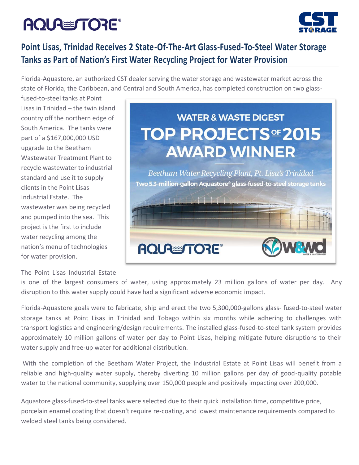# **AQUA TORE®**



### **Point Lisas, Trinidad Receives 2 State-Of-The-Art Glass-Fused-To-Steel Water Storage Tanks as Part of Nation's First Water Recycling Project for Water Provision**

Florida-Aquastore, an authorized CST dealer serving the water storage and wastewater market across the state of Florida, the Caribbean, and Central and South America, has completed construction on two glass-

fused-to-steel tanks at Point Lisas in Trinidad – the twin island country off the northern edge of South America. The tanks were part of a \$167,000,000 USD upgrade to the Beetham Wastewater Treatment Plant to recycle wastewater to industrial standard and use it to supply clients in the Point Lisas Industrial Estate. The wastewater was being recycled and pumped into the sea. This project is the first to include water recycling among the nation's menu of technologies for water provision.



#### The Point Lisas Industrial Estate

is one of the largest consumers of water, using approximately 23 million gallons of water per day. Any disruption to this water supply could have had a significant adverse economic impact.

Florida-Aquastore goals were to fabricate, ship and erect the two 5,300,000-gallons glass- fused-to-steel water storage tanks at Point Lisas in Trinidad and Tobago within six months while adhering to challenges with transport logistics and engineering/design requirements. The installed glass-fused-to-steel tank system provides approximately 10 million gallons of water per day to Point Lisas, helping mitigate future disruptions to their water supply and free-up water for additional distribution.

With the completion of the Beetham Water Project, the Industrial Estate at Point Lisas will benefit from a reliable and high-quality water supply, thereby diverting 10 million gallons per day of good-quality potable water to the national community, supplying over 150,000 people and positively impacting over 200,000.

Aquastore glass-fused-to-steel tanks were selected due to their quick installation time, competitive price, porcelain enamel coating that doesn't require re-coating, and lowest maintenance requirements compared to welded steel tanks being considered.